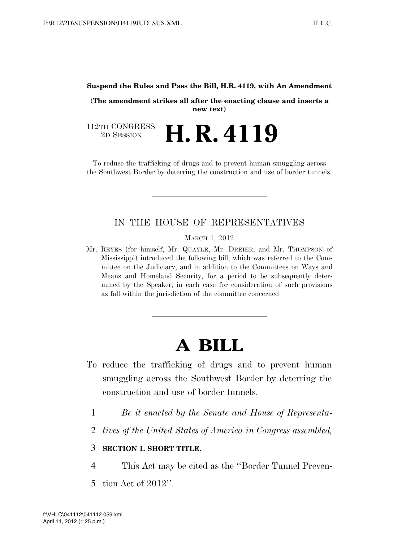#### **Suspend the Rules and Pass the Bill, H.R. 4119, with An Amendment**

**(The amendment strikes all after the enacting clause and inserts a new text)** 

112TH CONGRESS<br>2D SESSION 2D SESSION **H. R. 4119** 

To reduce the trafficking of drugs and to prevent human smuggling across the Southwest Border by deterring the construction and use of border tunnels.

## IN THE HOUSE OF REPRESENTATIVES

MARCH 1, 2012

Mr. REYES (for himself, Mr. QUAYLE, Mr. DREIER, and Mr. THOMPSON of Mississippi) introduced the following bill; which was referred to the Committee on the Judiciary, and in addition to the Committees on Ways and Means and Homeland Security, for a period to be subsequently determined by the Speaker, in each case for consideration of such provisions as fall within the jurisdiction of the committee concerned

# **A BILL**

- To reduce the trafficking of drugs and to prevent human smuggling across the Southwest Border by deterring the construction and use of border tunnels.
	- 1 *Be it enacted by the Senate and House of Representa-*
	- 2 *tives of the United States of America in Congress assembled,*

#### 3 **SECTION 1. SHORT TITLE.**

4 This Act may be cited as the ''Border Tunnel Preven-

5 tion Act of 2012''.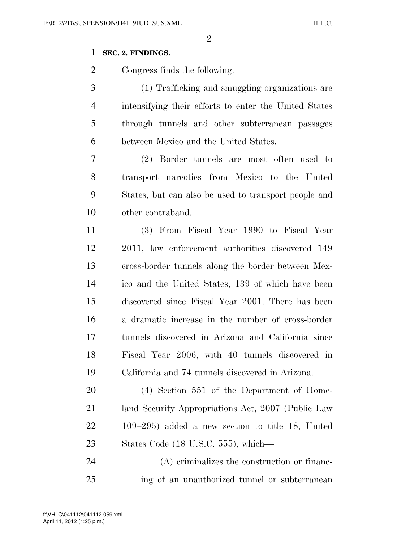### **SEC. 2. FINDINGS.**

Congress finds the following:

 (1) Trafficking and smuggling organizations are intensifying their efforts to enter the United States through tunnels and other subterranean passages between Mexico and the United States.

 (2) Border tunnels are most often used to transport narcotics from Mexico to the United States, but can also be used to transport people and other contraband.

 (3) From Fiscal Year 1990 to Fiscal Year 2011, law enforcement authorities discovered 149 cross-border tunnels along the border between Mex- ico and the United States, 139 of which have been discovered since Fiscal Year 2001. There has been a dramatic increase in the number of cross-border tunnels discovered in Arizona and California since Fiscal Year 2006, with 40 tunnels discovered in California and 74 tunnels discovered in Arizona.

 (4) Section 551 of the Department of Home- land Security Appropriations Act, 2007 (Public Law 109–295) added a new section to title 18, United States Code (18 U.S.C. 555), which—

 (A) criminalizes the construction or financ-ing of an unauthorized tunnel or subterranean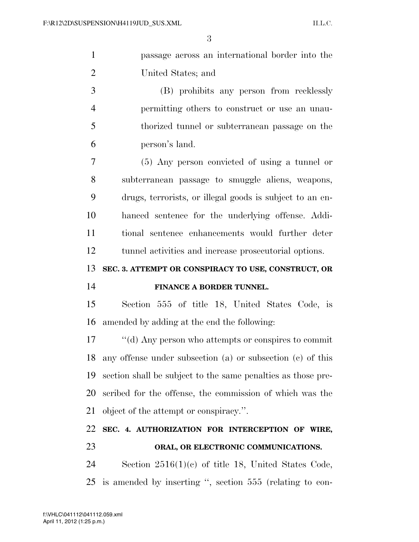| $\mathbf{1}$   | passage across an international border into the              |
|----------------|--------------------------------------------------------------|
| $\overline{2}$ | United States; and                                           |
| 3              | (B) prohibits any person from recklessly                     |
| 4              | permitting others to construct or use an unau-               |
| 5              | thorized tunnel or subterranean passage on the               |
| 6              | person's land.                                               |
| 7              | (5) Any person convicted of using a tunnel or                |
| 8              | subterranean passage to smuggle aliens, weapons,             |
| 9              | drugs, terrorists, or illegal goods is subject to an en-     |
| 10             | hanced sentence for the underlying offense. Addi-            |
| 11             | tional sentence enhancements would further deter             |
| 12             | tunnel activities and increase prosecutorial options.        |
|                |                                                              |
| 13             | SEC. 3. ATTEMPT OR CONSPIRACY TO USE, CONSTRUCT, OR          |
| 14             | FINANCE A BORDER TUNNEL.                                     |
| 15             | Section 555 of title 18, United States Code, is              |
| 16             | amended by adding at the end the following:                  |
| 17             | "(d) Any person who attempts or conspires to commit          |
| 18             | any offense under subsection (a) or subsection (c) of this   |
| 19             | section shall be subject to the same penalties as those pre- |
| 20             | scribed for the offense, the commission of which was the     |
| 21             | object of the attempt or conspiracy.".                       |
| 22             | SEC. 4. AUTHORIZATION FOR INTERCEPTION OF WIRE,              |
| 23             | ORAL, OR ELECTRONIC COMMUNICATIONS.                          |
| 24             | Section $2516(1)(e)$ of title 18, United States Code,        |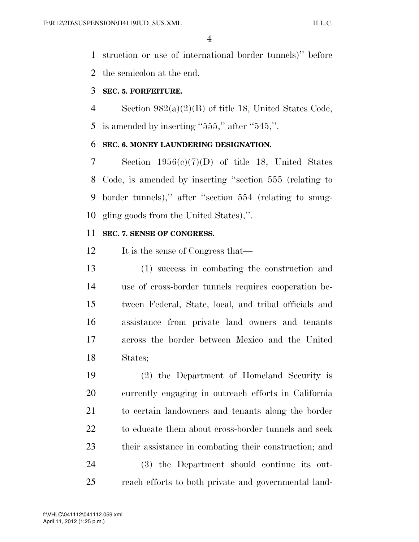struction or use of international border tunnels)'' before the semicolon at the end.

#### **SEC. 5. FORFEITURE.**

 Section 982(a)(2)(B) of title 18, United States Code, 5 is amended by inserting "," after " $545$ ,".

### **SEC. 6. MONEY LAUNDERING DESIGNATION.**

 Section 1956(c)(7)(D) of title 18, United States Code, is amended by inserting ''section 555 (relating to border tunnels),'' after ''section 554 (relating to smug-gling goods from the United States),''.

### **SEC. 7. SENSE OF CONGRESS.**

12 It is the sense of Congress that—

 (1) success in combating the construction and use of cross-border tunnels requires cooperation be- tween Federal, State, local, and tribal officials and assistance from private land owners and tenants across the border between Mexico and the United States;

 (2) the Department of Homeland Security is currently engaging in outreach efforts in California to certain landowners and tenants along the border to educate them about cross-border tunnels and seek their assistance in combating their construction; and (3) the Department should continue its out-reach efforts to both private and governmental land-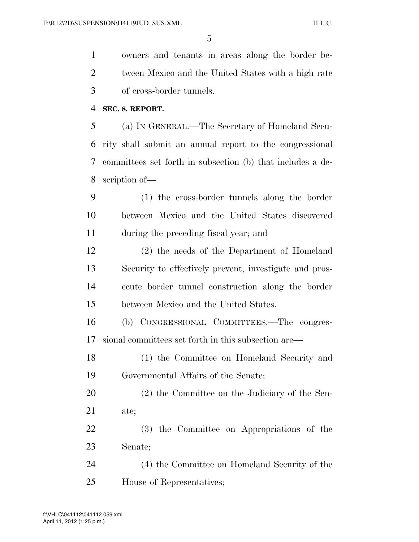owners and tenants in areas along the border be- tween Mexico and the United States with a high rate of cross-border tunnels.

**SEC. 8. REPORT.** 

 (a) IN GENERAL.—The Secretary of Homeland Secu- rity shall submit an annual report to the congressional committees set forth in subsection (b) that includes a de-scription of—

 (1) the cross-border tunnels along the border between Mexico and the United States discovered during the preceding fiscal year; and

 (2) the needs of the Department of Homeland Security to effectively prevent, investigate and pros- ecute border tunnel construction along the border between Mexico and the United States.

 (b) CONGRESSIONAL COMMITTEES.—The congres-sional committees set forth in this subsection are—

 (1) the Committee on Homeland Security and Governmental Affairs of the Senate;

 (2) the Committee on the Judiciary of the Sen-ate;

 (3) the Committee on Appropriations of the Senate;

 (4) the Committee on Homeland Security of the House of Representatives;